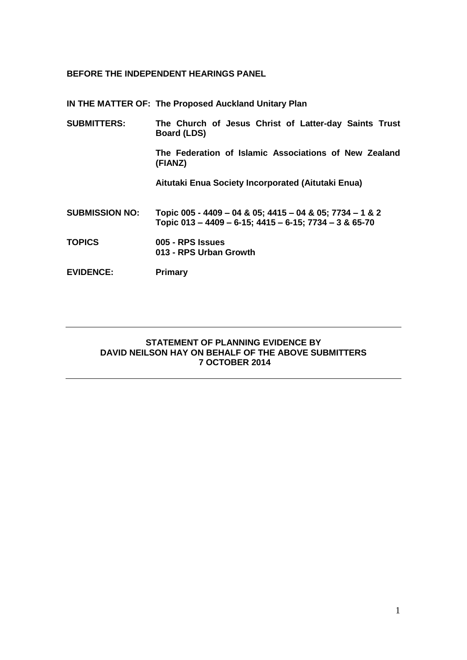## **BEFORE THE INDEPENDENT HEARINGS PANEL**

**IN THE MATTER OF: The Proposed Auckland Unitary Plan**

| <b>SUBMITTERS:</b>    | The Church of Jesus Christ of Latter-day Saints Trust<br><b>Board (LDS)</b>                                        |
|-----------------------|--------------------------------------------------------------------------------------------------------------------|
|                       | The Federation of Islamic Associations of New Zealand<br>(FIANZ)                                                   |
|                       | Aitutaki Enua Society Incorporated (Aitutaki Enua)                                                                 |
| <b>SUBMISSION NO:</b> | Topic 005 - 4409 - 04 & 05; 4415 - 04 & 05; 7734 - 1 & 2<br>Topic 013 - 4409 - 6-15; 4415 - 6-15; 7734 - 3 & 65-70 |
| <b>TOPICS</b>         | 005 - RPS Issues<br>013 - RPS Urban Growth                                                                         |
| <b>EVIDENCE:</b>      | Primary                                                                                                            |

## **STATEMENT OF PLANNING EVIDENCE BY DAVID NEILSON HAY ON BEHALF OF THE ABOVE SUBMITTERS 7 OCTOBER 2014**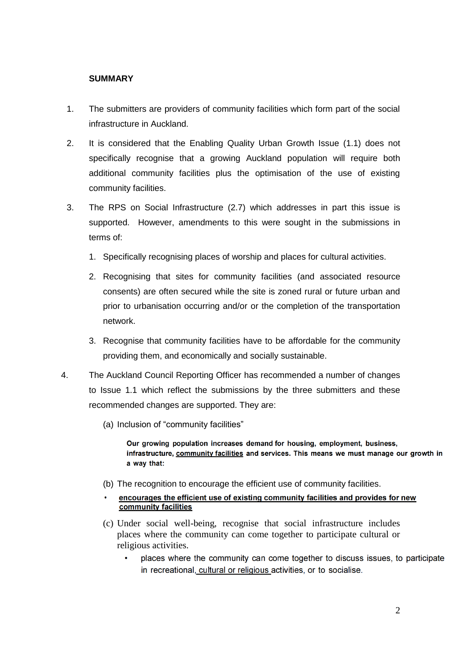## **SUMMARY**

- 1. The submitters are providers of community facilities which form part of the social infrastructure in Auckland.
- 2. It is considered that the Enabling Quality Urban Growth Issue (1.1) does not specifically recognise that a growing Auckland population will require both additional community facilities plus the optimisation of the use of existing community facilities.
- 3. The RPS on Social Infrastructure (2.7) which addresses in part this issue is supported. However, amendments to this were sought in the submissions in terms of:
	- 1. Specifically recognising places of worship and places for cultural activities.
	- 2. Recognising that sites for community facilities (and associated resource consents) are often secured while the site is zoned rural or future urban and prior to urbanisation occurring and/or or the completion of the transportation network.
	- 3. Recognise that community facilities have to be affordable for the community providing them, and economically and socially sustainable.
- 4. The Auckland Council Reporting Officer has recommended a number of changes to Issue 1.1 which reflect the submissions by the three submitters and these recommended changes are supported. They are:
	- (a) Inclusion of "community facilities"

Our growing population increases demand for housing, employment, business, infrastructure, community facilities and services. This means we must manage our growth in a way that:

- (b) The recognition to encourage the efficient use of community facilities.
- encourages the efficient use of existing community facilities and provides for new community facilities
- (c) Under social well-being, recognise that social infrastructure includes places where the community can come together to participate cultural or religious activities.
	- places where the community can come together to discuss issues, to participate in recreational, cultural or religious activities, or to socialise.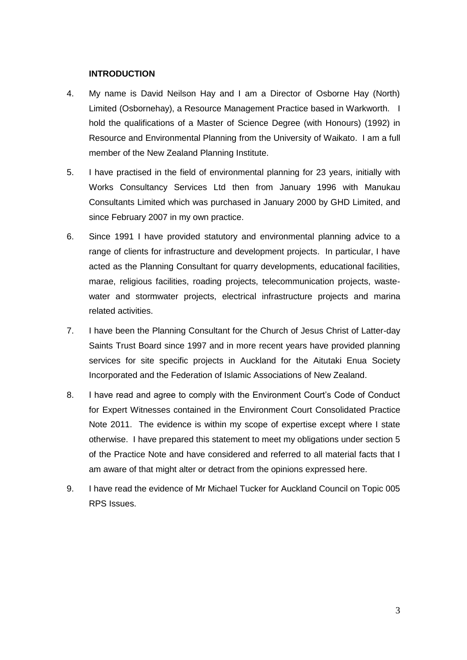#### **INTRODUCTION**

- 4. My name is David Neilson Hay and I am a Director of Osborne Hay (North) Limited (Osbornehay), a Resource Management Practice based in Warkworth. I hold the qualifications of a Master of Science Degree (with Honours) (1992) in Resource and Environmental Planning from the University of Waikato. I am a full member of the New Zealand Planning Institute.
- 5. I have practised in the field of environmental planning for 23 years, initially with Works Consultancy Services Ltd then from January 1996 with Manukau Consultants Limited which was purchased in January 2000 by GHD Limited, and since February 2007 in my own practice.
- 6. Since 1991 I have provided statutory and environmental planning advice to a range of clients for infrastructure and development projects. In particular, I have acted as the Planning Consultant for quarry developments, educational facilities, marae, religious facilities, roading projects, telecommunication projects, wastewater and stormwater projects, electrical infrastructure projects and marina related activities.
- 7. I have been the Planning Consultant for the Church of Jesus Christ of Latter-day Saints Trust Board since 1997 and in more recent years have provided planning services for site specific projects in Auckland for the Aitutaki Enua Society Incorporated and the Federation of Islamic Associations of New Zealand.
- 8. I have read and agree to comply with the Environment Court's Code of Conduct for Expert Witnesses contained in the Environment Court Consolidated Practice Note 2011. The evidence is within my scope of expertise except where I state otherwise. I have prepared this statement to meet my obligations under section 5 of the Practice Note and have considered and referred to all material facts that I am aware of that might alter or detract from the opinions expressed here.
- 9. I have read the evidence of Mr Michael Tucker for Auckland Council on Topic 005 RPS Issues.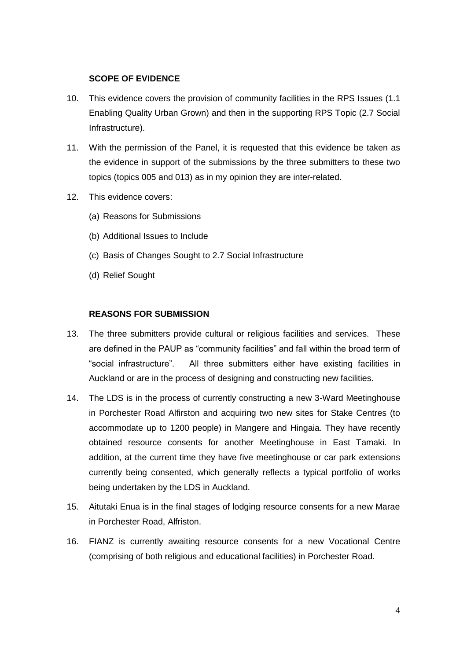## **SCOPE OF EVIDENCE**

- 10. This evidence covers the provision of community facilities in the RPS Issues (1.1 Enabling Quality Urban Grown) and then in the supporting RPS Topic (2.7 Social Infrastructure).
- 11. With the permission of the Panel, it is requested that this evidence be taken as the evidence in support of the submissions by the three submitters to these two topics (topics 005 and 013) as in my opinion they are inter-related.
- 12. This evidence covers:
	- (a) Reasons for Submissions
	- (b) Additional Issues to Include
	- (c) Basis of Changes Sought to 2.7 Social Infrastructure
	- (d) Relief Sought

#### **REASONS FOR SUBMISSION**

- 13. The three submitters provide cultural or religious facilities and services. These are defined in the PAUP as "community facilities" and fall within the broad term of "social infrastructure". All three submitters either have existing facilities in Auckland or are in the process of designing and constructing new facilities.
- 14. The LDS is in the process of currently constructing a new 3-Ward Meetinghouse in Porchester Road Alfirston and acquiring two new sites for Stake Centres (to accommodate up to 1200 people) in Mangere and Hingaia. They have recently obtained resource consents for another Meetinghouse in East Tamaki. In addition, at the current time they have five meetinghouse or car park extensions currently being consented, which generally reflects a typical portfolio of works being undertaken by the LDS in Auckland.
- 15. Aitutaki Enua is in the final stages of lodging resource consents for a new Marae in Porchester Road, Alfriston.
- 16. FIANZ is currently awaiting resource consents for a new Vocational Centre (comprising of both religious and educational facilities) in Porchester Road.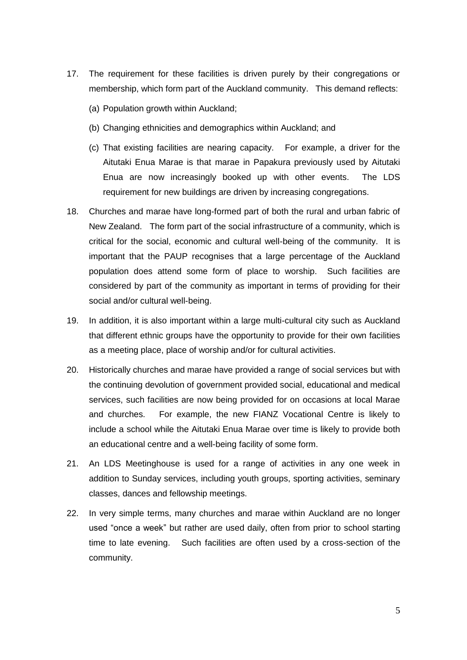- 17. The requirement for these facilities is driven purely by their congregations or membership, which form part of the Auckland community. This demand reflects:
	- (a) Population growth within Auckland;
	- (b) Changing ethnicities and demographics within Auckland; and
	- (c) That existing facilities are nearing capacity. For example, a driver for the Aitutaki Enua Marae is that marae in Papakura previously used by Aitutaki Enua are now increasingly booked up with other events. The LDS requirement for new buildings are driven by increasing congregations.
- 18. Churches and marae have long-formed part of both the rural and urban fabric of New Zealand. The form part of the social infrastructure of a community, which is critical for the social, economic and cultural well-being of the community. It is important that the PAUP recognises that a large percentage of the Auckland population does attend some form of place to worship. Such facilities are considered by part of the community as important in terms of providing for their social and/or cultural well-being.
- 19. In addition, it is also important within a large multi-cultural city such as Auckland that different ethnic groups have the opportunity to provide for their own facilities as a meeting place, place of worship and/or for cultural activities.
- 20. Historically churches and marae have provided a range of social services but with the continuing devolution of government provided social, educational and medical services, such facilities are now being provided for on occasions at local Marae and churches. For example, the new FIANZ Vocational Centre is likely to include a school while the Aitutaki Enua Marae over time is likely to provide both an educational centre and a well-being facility of some form.
- 21. An LDS Meetinghouse is used for a range of activities in any one week in addition to Sunday services, including youth groups, sporting activities, seminary classes, dances and fellowship meetings.
- 22. In very simple terms, many churches and marae within Auckland are no longer used "once a week" but rather are used daily, often from prior to school starting time to late evening. Such facilities are often used by a cross-section of the community.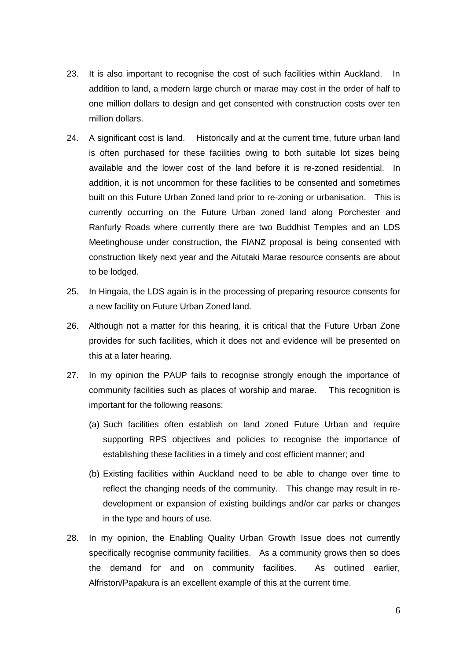- 23. It is also important to recognise the cost of such facilities within Auckland. In addition to land, a modern large church or marae may cost in the order of half to one million dollars to design and get consented with construction costs over ten million dollars.
- 24. A significant cost is land. Historically and at the current time, future urban land is often purchased for these facilities owing to both suitable lot sizes being available and the lower cost of the land before it is re-zoned residential. In addition, it is not uncommon for these facilities to be consented and sometimes built on this Future Urban Zoned land prior to re-zoning or urbanisation. This is currently occurring on the Future Urban zoned land along Porchester and Ranfurly Roads where currently there are two Buddhist Temples and an LDS Meetinghouse under construction, the FIANZ proposal is being consented with construction likely next year and the Aitutaki Marae resource consents are about to be lodged.
- 25. In Hingaia, the LDS again is in the processing of preparing resource consents for a new facility on Future Urban Zoned land.
- 26. Although not a matter for this hearing, it is critical that the Future Urban Zone provides for such facilities, which it does not and evidence will be presented on this at a later hearing.
- 27. In my opinion the PAUP fails to recognise strongly enough the importance of community facilities such as places of worship and marae. This recognition is important for the following reasons:
	- (a) Such facilities often establish on land zoned Future Urban and require supporting RPS objectives and policies to recognise the importance of establishing these facilities in a timely and cost efficient manner; and
	- (b) Existing facilities within Auckland need to be able to change over time to reflect the changing needs of the community. This change may result in redevelopment or expansion of existing buildings and/or car parks or changes in the type and hours of use.
- 28. In my opinion, the Enabling Quality Urban Growth Issue does not currently specifically recognise community facilities. As a community grows then so does the demand for and on community facilities. As outlined earlier, Alfriston/Papakura is an excellent example of this at the current time.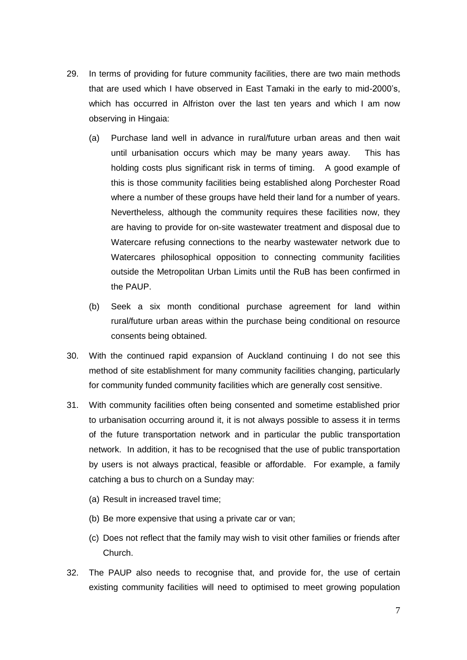- 29. In terms of providing for future community facilities, there are two main methods that are used which I have observed in East Tamaki in the early to mid-2000's, which has occurred in Alfriston over the last ten years and which I am now observing in Hingaia:
	- (a) Purchase land well in advance in rural/future urban areas and then wait until urbanisation occurs which may be many years away. This has holding costs plus significant risk in terms of timing. A good example of this is those community facilities being established along Porchester Road where a number of these groups have held their land for a number of years. Nevertheless, although the community requires these facilities now, they are having to provide for on-site wastewater treatment and disposal due to Watercare refusing connections to the nearby wastewater network due to Watercares philosophical opposition to connecting community facilities outside the Metropolitan Urban Limits until the RuB has been confirmed in the PAUP.
	- (b) Seek a six month conditional purchase agreement for land within rural/future urban areas within the purchase being conditional on resource consents being obtained.
- 30. With the continued rapid expansion of Auckland continuing I do not see this method of site establishment for many community facilities changing, particularly for community funded community facilities which are generally cost sensitive.
- 31. With community facilities often being consented and sometime established prior to urbanisation occurring around it, it is not always possible to assess it in terms of the future transportation network and in particular the public transportation network. In addition, it has to be recognised that the use of public transportation by users is not always practical, feasible or affordable. For example, a family catching a bus to church on a Sunday may:
	- (a) Result in increased travel time;
	- (b) Be more expensive that using a private car or van;
	- (c) Does not reflect that the family may wish to visit other families or friends after Church.
- 32. The PAUP also needs to recognise that, and provide for, the use of certain existing community facilities will need to optimised to meet growing population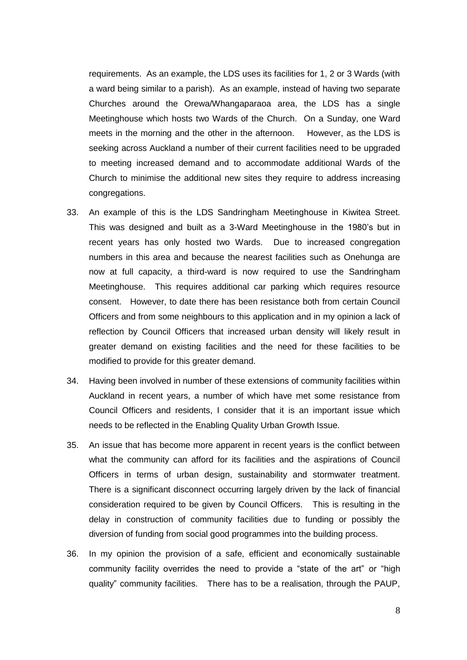requirements. As an example, the LDS uses its facilities for 1, 2 or 3 Wards (with a ward being similar to a parish). As an example, instead of having two separate Churches around the Orewa/Whangaparaoa area, the LDS has a single Meetinghouse which hosts two Wards of the Church. On a Sunday, one Ward meets in the morning and the other in the afternoon. However, as the LDS is seeking across Auckland a number of their current facilities need to be upgraded to meeting increased demand and to accommodate additional Wards of the Church to minimise the additional new sites they require to address increasing congregations.

- 33. An example of this is the LDS Sandringham Meetinghouse in Kiwitea Street. This was designed and built as a 3-Ward Meetinghouse in the 1980's but in recent years has only hosted two Wards. Due to increased congregation numbers in this area and because the nearest facilities such as Onehunga are now at full capacity, a third-ward is now required to use the Sandringham Meetinghouse. This requires additional car parking which requires resource consent. However, to date there has been resistance both from certain Council Officers and from some neighbours to this application and in my opinion a lack of reflection by Council Officers that increased urban density will likely result in greater demand on existing facilities and the need for these facilities to be modified to provide for this greater demand.
- 34. Having been involved in number of these extensions of community facilities within Auckland in recent years, a number of which have met some resistance from Council Officers and residents, I consider that it is an important issue which needs to be reflected in the Enabling Quality Urban Growth Issue.
- 35. An issue that has become more apparent in recent years is the conflict between what the community can afford for its facilities and the aspirations of Council Officers in terms of urban design, sustainability and stormwater treatment. There is a significant disconnect occurring largely driven by the lack of financial consideration required to be given by Council Officers. This is resulting in the delay in construction of community facilities due to funding or possibly the diversion of funding from social good programmes into the building process.
- 36. In my opinion the provision of a safe, efficient and economically sustainable community facility overrides the need to provide a "state of the art" or "high quality" community facilities. There has to be a realisation, through the PAUP,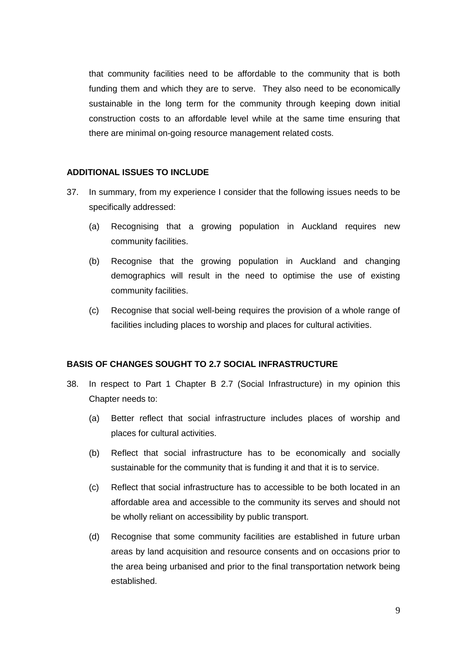that community facilities need to be affordable to the community that is both funding them and which they are to serve. They also need to be economically sustainable in the long term for the community through keeping down initial construction costs to an affordable level while at the same time ensuring that there are minimal on-going resource management related costs.

#### **ADDITIONAL ISSUES TO INCLUDE**

- 37. In summary, from my experience I consider that the following issues needs to be specifically addressed:
	- (a) Recognising that a growing population in Auckland requires new community facilities.
	- (b) Recognise that the growing population in Auckland and changing demographics will result in the need to optimise the use of existing community facilities.
	- (c) Recognise that social well-being requires the provision of a whole range of facilities including places to worship and places for cultural activities.

#### **BASIS OF CHANGES SOUGHT TO 2.7 SOCIAL INFRASTRUCTURE**

- 38. In respect to Part 1 Chapter B 2.7 (Social Infrastructure) in my opinion this Chapter needs to:
	- (a) Better reflect that social infrastructure includes places of worship and places for cultural activities.
	- (b) Reflect that social infrastructure has to be economically and socially sustainable for the community that is funding it and that it is to service.
	- (c) Reflect that social infrastructure has to accessible to be both located in an affordable area and accessible to the community its serves and should not be wholly reliant on accessibility by public transport.
	- (d) Recognise that some community facilities are established in future urban areas by land acquisition and resource consents and on occasions prior to the area being urbanised and prior to the final transportation network being established.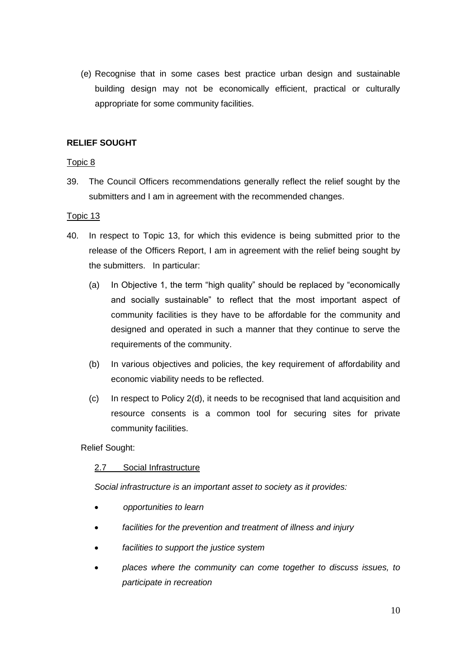(e) Recognise that in some cases best practice urban design and sustainable building design may not be economically efficient, practical or culturally appropriate for some community facilities.

# **RELIEF SOUGHT**

## Topic 8

39. The Council Officers recommendations generally reflect the relief sought by the submitters and I am in agreement with the recommended changes.

## Topic 13

- 40. In respect to Topic 13, for which this evidence is being submitted prior to the release of the Officers Report, I am in agreement with the relief being sought by the submitters. In particular:
	- (a) In Objective 1, the term "high quality" should be replaced by "economically and socially sustainable" to reflect that the most important aspect of community facilities is they have to be affordable for the community and designed and operated in such a manner that they continue to serve the requirements of the community.
	- (b) In various objectives and policies, the key requirement of affordability and economic viability needs to be reflected.
	- (c) In respect to Policy 2(d), it needs to be recognised that land acquisition and resource consents is a common tool for securing sites for private community facilities.

## Relief Sought:

# 2.7 Social Infrastructure

*Social infrastructure is an important asset to society as it provides:*

- *opportunities to learn*
- *facilities for the prevention and treatment of illness and injury*
- *facilities to support the justice system*
- *places where the community can come together to discuss issues, to participate in recreation*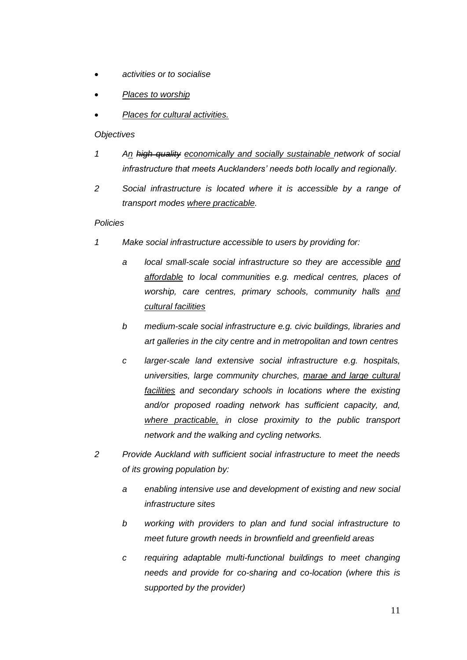- *activities or to socialise*
- *Places to worship*
- *Places for cultural activities.*

## *Objectives*

- *1 An high quality economically and socially sustainable network of social infrastructure that meets Aucklanders' needs both locally and regionally.*
- *2 Social infrastructure is located where it is accessible by a range of transport modes where practicable.*

## *Policies*

- *1 Make social infrastructure accessible to users by providing for:*
	- *a local small-scale social infrastructure so they are accessible and affordable to local communities e.g. medical centres, places of worship, care centres, primary schools, community halls and cultural facilities*
	- *b medium-scale social infrastructure e.g. civic buildings, libraries and art galleries in the city centre and in metropolitan and town centres*
	- *c larger-scale land extensive social infrastructure e.g. hospitals, universities, large community churches, marae and large cultural facilities and secondary schools in locations where the existing and/or proposed roading network has sufficient capacity, and, where practicable, in close proximity to the public transport network and the walking and cycling networks.*
- *2 Provide Auckland with sufficient social infrastructure to meet the needs of its growing population by:*
	- *a enabling intensive use and development of existing and new social infrastructure sites*
	- *b working with providers to plan and fund social infrastructure to meet future growth needs in brownfield and greenfield areas*
	- *c requiring adaptable multi-functional buildings to meet changing needs and provide for co-sharing and co-location (where this is supported by the provider)*